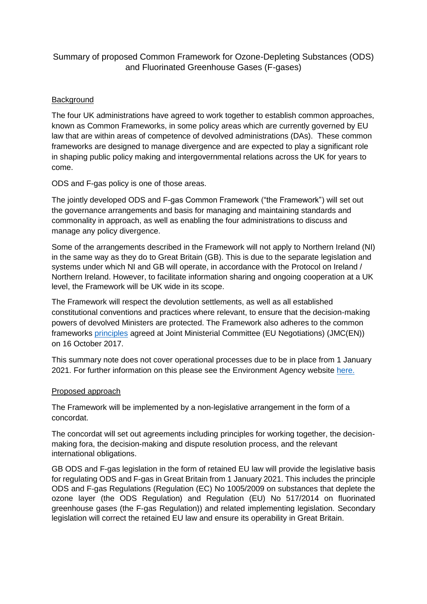## Summary of proposed Common Framework for Ozone-Depleting Substances (ODS) and Fluorinated Greenhouse Gases (F-gases)

## Background

The four UK administrations have agreed to work together to establish common approaches, known as Common Frameworks, in some policy areas which are currently governed by EU law that are within areas of competence of devolved administrations (DAs). These common frameworks are designed to manage divergence and are expected to play a significant role in shaping public policy making and intergovernmental relations across the UK for years to come.

ODS and F-gas policy is one of those areas.

The jointly developed ODS and F-gas Common Framework ("the Framework") will set out the governance arrangements and basis for managing and maintaining standards and commonality in approach, as well as enabling the four administrations to discuss and manage any policy divergence.

Some of the arrangements described in the Framework will not apply to Northern Ireland (NI) in the same way as they do to Great Britain (GB). This is due to the separate legislation and systems under which NI and GB will operate, in accordance with the Protocol on Ireland / Northern Ireland. However, to facilitate information sharing and ongoing cooperation at a UK level, the Framework will be UK wide in its scope.

The Framework will respect the devolution settlements, as well as all established constitutional conventions and practices where relevant, to ensure that the decision-making powers of devolved Ministers are protected. The Framework also adheres to the common frameworks [principles](https://assets.publishing.service.gov.uk/government/uploads/system/uploads/attachment_data/file/652285/Joint_Ministerial_Committee_communique.pdf) agreed at Joint Ministerial Committee (EU Negotiations) (JMC(EN)) on 16 October 2017.

This summary note does not cover operational processes due to be in place from 1 January 2021. For further information on this please see the Environment Agency website [here.](https://www.gov.uk/guidance/fluorinated-gases-and-ozone-depleting-substances-how-to-do-business-from-1-january-2021)

## Proposed approach

The Framework will be implemented by a non-legislative arrangement in the form of a concordat.

The concordat will set out agreements including principles for working together, the decisionmaking fora, the decision-making and dispute resolution process, and the relevant international obligations.

GB ODS and F-gas legislation in the form of retained EU law will provide the legislative basis for regulating ODS and F-gas in Great Britain from 1 January 2021. This includes the principle ODS and F-gas Regulations (Regulation (EC) No 1005/2009 on substances that deplete the ozone layer (the ODS Regulation) and Regulation (EU) No 517/2014 on fluorinated greenhouse gases (the F-gas Regulation)) and related implementing legislation. Secondary legislation will correct the retained EU law and ensure its operability in Great Britain.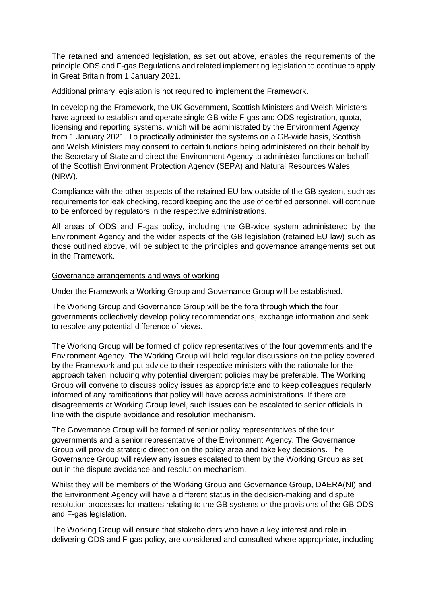The retained and amended legislation, as set out above, enables the requirements of the principle ODS and F-gas Regulations and related implementing legislation to continue to apply in Great Britain from 1 January 2021.

Additional primary legislation is not required to implement the Framework.

In developing the Framework, the UK Government, Scottish Ministers and Welsh Ministers have agreed to establish and operate single GB-wide F-gas and ODS registration, quota, licensing and reporting systems, which will be administrated by the Environment Agency from 1 January 2021. To practically administer the systems on a GB-wide basis, Scottish and Welsh Ministers may consent to certain functions being administered on their behalf by the Secretary of State and direct the Environment Agency to administer functions on behalf of the Scottish Environment Protection Agency (SEPA) and Natural Resources Wales (NRW).

Compliance with the other aspects of the retained EU law outside of the GB system, such as requirements for leak checking, record keeping and the use of certified personnel, will continue to be enforced by regulators in the respective administrations.

All areas of ODS and F-gas policy, including the GB-wide system administered by the Environment Agency and the wider aspects of the GB legislation (retained EU law) such as those outlined above, will be subject to the principles and governance arrangements set out in the Framework.

## Governance arrangements and ways of working

Under the Framework a Working Group and Governance Group will be established.

The Working Group and Governance Group will be the fora through which the four governments collectively develop policy recommendations, exchange information and seek to resolve any potential difference of views.

The Working Group will be formed of policy representatives of the four governments and the Environment Agency. The Working Group will hold regular discussions on the policy covered by the Framework and put advice to their respective ministers with the rationale for the approach taken including why potential divergent policies may be preferable. The Working Group will convene to discuss policy issues as appropriate and to keep colleagues regularly informed of any ramifications that policy will have across administrations. If there are disagreements at Working Group level, such issues can be escalated to senior officials in line with the dispute avoidance and resolution mechanism.

The Governance Group will be formed of senior policy representatives of the four governments and a senior representative of the Environment Agency. The Governance Group will provide strategic direction on the policy area and take key decisions. The Governance Group will review any issues escalated to them by the Working Group as set out in the dispute avoidance and resolution mechanism.

Whilst they will be members of the Working Group and Governance Group, DAERA(NI) and the Environment Agency will have a different status in the decision-making and dispute resolution processes for matters relating to the GB systems or the provisions of the GB ODS and F-gas legislation.

The Working Group will ensure that stakeholders who have a key interest and role in delivering ODS and F-gas policy, are considered and consulted where appropriate, including